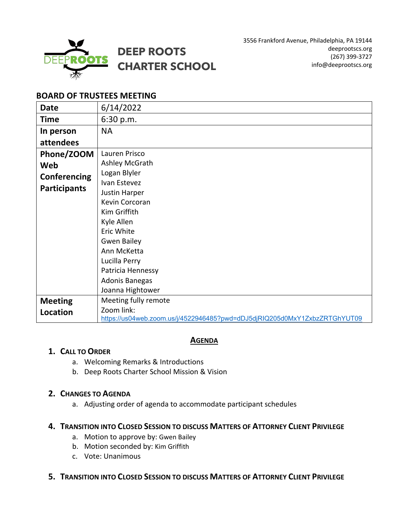

3556 Frankford Avenue, Philadelphia, PA 19144 deeprootscs.org (267) 399-3727 info@deeprootscs.org

# **BOARD OF TRUSTEES MEETING**

| <b>Date</b>         | 6/14/2022                                                                 |
|---------------------|---------------------------------------------------------------------------|
| <b>Time</b>         | 6:30 p.m.                                                                 |
| In person           | <b>NA</b>                                                                 |
| attendees           |                                                                           |
| Phone/ZOOM          | Lauren Prisco                                                             |
| Web                 | Ashley McGrath                                                            |
| Conferencing        | Logan Blyler                                                              |
| <b>Participants</b> | Ivan Estevez                                                              |
|                     | Justin Harper                                                             |
|                     | Kevin Corcoran                                                            |
|                     | Kim Griffith                                                              |
|                     | Kyle Allen                                                                |
|                     | Eric White                                                                |
|                     | <b>Gwen Bailey</b>                                                        |
|                     | Ann McKetta                                                               |
|                     | Lucilla Perry                                                             |
|                     | Patricia Hennessy                                                         |
|                     | Adonis Banegas                                                            |
|                     | Joanna Hightower                                                          |
| <b>Meeting</b>      | Meeting fully remote                                                      |
| Location            | Zoom link:                                                                |
|                     | https://us04web.zoom.us/j/4522946485?pwd=dDJ5djRIQ205d0MxY1ZxbzZRTGhYUT09 |

## **AGENDA**

### **1. CALL TO ORDER**

- a. Welcoming Remarks & Introductions
- b. Deep Roots Charter School Mission & Vision

### **2. CHANGES TO AGENDA**

a. Adjusting order of agenda to accommodate participant schedules

### **4. TRANSITION INTO CLOSED SESSION TO DISCUSS MATTERS OF ATTORNEY CLIENT PRIVILEGE**

- a. Motion to approve by: Gwen Bailey
- b. Motion seconded by: Kim Griffith
- c. Vote: Unanimous

## **5. TRANSITION INTO CLOSED SESSION TO DISCUSS MATTERS OF ATTORNEY CLIENT PRIVILEGE**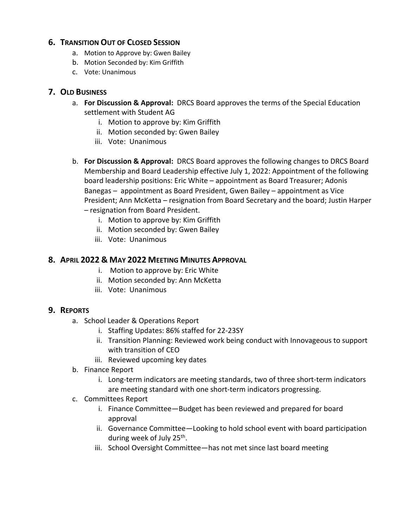## **6. TRANSITION OUT OF CLOSED SESSION**

- a. Motion to Approve by: Gwen Bailey
- b. Motion Seconded by: Kim Griffith
- c. Vote: Unanimous

## **7. OLD BUSINESS**

- a. **For Discussion & Approval:** DRCS Board approves the terms of the Special Education settlement with Student AG
	- i. Motion to approve by: Kim Griffith
	- ii. Motion seconded by: Gwen Bailey
	- iii. Vote: Unanimous
- b. **For Discussion & Approval:** DRCS Board approves the following changes to DRCS Board Membership and Board Leadership effective July 1, 2022: Appointment of the following board leadership positions: Eric White – appointment as Board Treasurer; Adonis Banegas – appointment as Board President, Gwen Bailey – appointment as Vice President; Ann McKetta – resignation from Board Secretary and the board; Justin Harper – resignation from Board President.
	- i. Motion to approve by: Kim Griffith
	- ii. Motion seconded by: Gwen Bailey
	- iii. Vote: Unanimous

## **8. APRIL 2022 & MAY 2022 MEETING MINUTES APPROVAL**

- i. Motion to approve by: Eric White
- ii. Motion seconded by: Ann McKetta
- iii. Vote: Unanimous

### **9. REPORTS**

- a. School Leader & Operations Report
	- i. Staffing Updates: 86% staffed for 22-23SY
	- ii. Transition Planning: Reviewed work being conduct with Innovageous to support with transition of CEO
	- iii. Reviewed upcoming key dates
- b. Finance Report
	- i. Long-term indicators are meeting standards, two of three short-term indicators are meeting standard with one short-term indicators progressing.
- c. Committees Report
	- i. Finance Committee—Budget has been reviewed and prepared for board approval
	- ii. Governance Committee—Looking to hold school event with board participation during week of July 25<sup>th</sup>.
	- iii. School Oversight Committee—has not met since last board meeting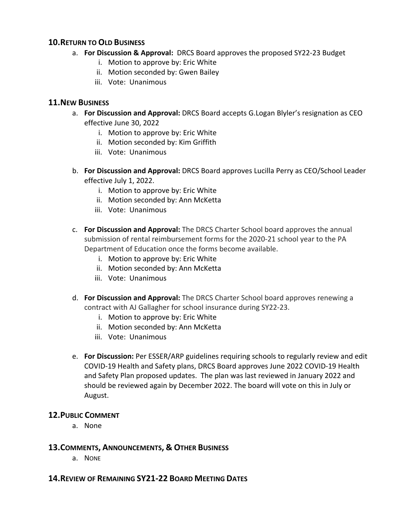### **10.RETURN TO OLD BUSINESS**

- a. **For Discussion & Approval:** DRCS Board approves the proposed SY22-23 Budget
	- i. Motion to approve by: Eric White
	- ii. Motion seconded by: Gwen Bailey
	- iii. Vote: Unanimous

## **11.NEW BUSINESS**

- a. **For Discussion and Approval:** DRCS Board accepts G.Logan Blyler's resignation as CEO effective June 30, 2022
	- i. Motion to approve by: Eric White
	- ii. Motion seconded by: Kim Griffith
	- iii. Vote: Unanimous
- b. **For Discussion and Approval:** DRCS Board approves Lucilla Perry as CEO/School Leader effective July 1, 2022.
	- i. Motion to approve by: Eric White
	- ii. Motion seconded by: Ann McKetta
	- iii. Vote: Unanimous
- c. **For Discussion and Approval:** The DRCS Charter School board approves the annual submission of rental reimbursement forms for the 2020-21 school year to the PA Department of Education once the forms become available.
	- i. Motion to approve by: Eric White
	- ii. Motion seconded by: Ann McKetta
	- iii. Vote: Unanimous
- d. **For Discussion and Approval:** The DRCS Charter School board approves renewing a contract with AJ Gallagher for school insurance during SY22-23.
	- i. Motion to approve by: Eric White
	- ii. Motion seconded by: Ann McKetta
	- iii. Vote: Unanimous
- e. **For Discussion:** Per ESSER/ARP guidelines requiring schools to regularly review and edit COVID-19 Health and Safety plans, DRCS Board approves June 2022 COVID-19 Health and Safety Plan proposed updates. The plan was last reviewed in January 2022 and should be reviewed again by December 2022. The board will vote on this in July or August.

## **12.PUBLIC COMMENT**

a. None

## **13.COMMENTS, ANNOUNCEMENTS, & OTHER BUSINESS**

a. NONE

### **14.REVIEW OF REMAINING SY21-22 BOARD MEETING DATES**